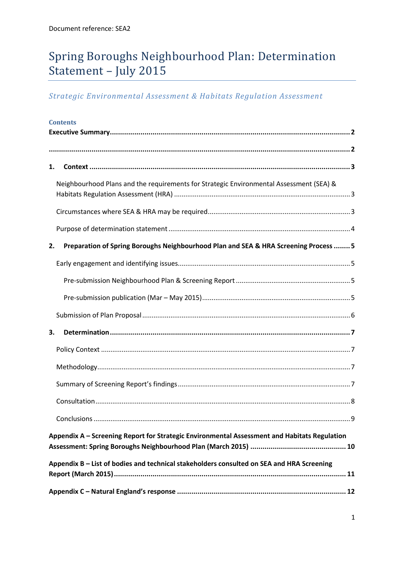# Spring Boroughs Neighbourhood Plan: Determination Statement – July 2015

## *Strategic Environmental Assessment & Habitats Regulation Assessment*

|    | <b>Contents</b>                                                                              |  |
|----|----------------------------------------------------------------------------------------------|--|
|    |                                                                                              |  |
| 1. |                                                                                              |  |
|    | Neighbourhood Plans and the requirements for Strategic Environmental Assessment (SEA) &      |  |
|    |                                                                                              |  |
|    |                                                                                              |  |
| 2. | Preparation of Spring Boroughs Neighbourhood Plan and SEA & HRA Screening Process  5         |  |
|    |                                                                                              |  |
|    |                                                                                              |  |
|    |                                                                                              |  |
|    |                                                                                              |  |
| 3. |                                                                                              |  |
|    |                                                                                              |  |
|    |                                                                                              |  |
|    |                                                                                              |  |
|    |                                                                                              |  |
|    |                                                                                              |  |
|    | Appendix A - Screening Report for Strategic Environmental Assessment and Habitats Regulation |  |
|    | Appendix B - List of bodies and technical stakeholders consulted on SEA and HRA Screening    |  |
|    |                                                                                              |  |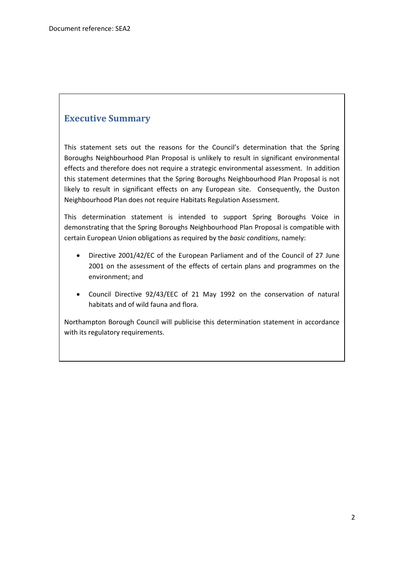### <span id="page-1-0"></span>**Executive Summary**

This statement sets out the reasons for the Council's determination that the Spring Boroughs Neighbourhood Plan Proposal is unlikely to result in significant environmental effects and therefore does not require a strategic environmental assessment. In addition this statement determines that the Spring Boroughs Neighbourhood Plan Proposal is not likely to result in significant effects on any European site. Consequently, the Duston Neighbourhood Plan does not require Habitats Regulation Assessment.

This determination statement is intended to support Spring Boroughs Voice in demonstrating that the Spring Boroughs Neighbourhood Plan Proposal is compatible with certain European Union obligations as required by the *basic conditions*, namely:

- Directive 2001/42/EC of the European Parliament and of the Council of 27 June 2001 on the assessment of the effects of certain plans and programmes on the environment; and
- Council Directive 92/43/EEC of 21 May 1992 on the conservation of natural habitats and of wild fauna and flora.

Northampton Borough Council will publicise this determination statement in accordance with its regulatory requirements.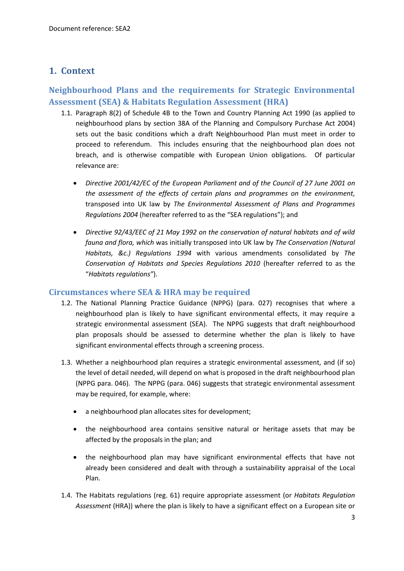### <span id="page-2-0"></span>**1. Context**

### <span id="page-2-1"></span>**Neighbourhood Plans and the requirements for Strategic Environmental Assessment (SEA) & Habitats Regulation Assessment (HRA)**

- 1.1. Paragraph 8(2) of Schedule 4B to the Town and Country Planning Act 1990 (as applied to neighbourhood plans by section 38A of the Planning and Compulsory Purchase Act 2004) sets out the basic conditions which a draft Neighbourhood Plan must meet in order to proceed to referendum. This includes ensuring that the neighbourhood plan does not breach, and is otherwise compatible with European Union obligations. Of particular relevance are:
	- *Directive 2001/42/EC of the European Parliament and of the Council of 27 June 2001 on the assessment of the effects of certain plans and programmes on the environment,*  transposed into UK law by *The Environmental Assessment of Plans and Programmes Regulations 2004* (hereafter referred to as the "SEA regulations"); and
	- *Directive 92/43/EEC of 21 May 1992 on the conservation of natural habitats and of wild fauna and flora, which* was initially transposed into UK law by *The Conservation (Natural Habitats, &c.) Regulations 1994* with various amendments consolidated by *The Conservation of Habitats and Species Regulations 2010* (hereafter referred to as the "*Habitats regulations"*).

### <span id="page-2-2"></span>**Circumstances where SEA & HRA may be required**

- 1.2. The National Planning Practice Guidance (NPPG) (para. 027) recognises that where a neighbourhood plan is likely to have significant environmental effects, it may require a strategic environmental assessment (SEA). The NPPG suggests that draft neighbourhood plan proposals should be assessed to determine whether the plan is likely to have significant environmental effects through a screening process.
- 1.3. Whether a neighbourhood plan requires a strategic environmental assessment, and (if so) the level of detail needed, will depend on what is proposed in the draft neighbourhood plan (NPPG para. 046). The NPPG (para. 046) suggests that strategic environmental assessment may be required, for example, where:
	- a neighbourhood plan allocates sites for development;
	- the neighbourhood area contains sensitive natural or heritage assets that may be affected by the proposals in the plan; and
	- the neighbourhood plan may have significant environmental effects that have not already been considered and dealt with through a sustainability appraisal of the Local Plan.
- 1.4. The Habitats regulations (reg. 61) require appropriate assessment (or *Habitats Regulation Assessment* (HRA)) where the plan is likely to have a significant effect on a European site or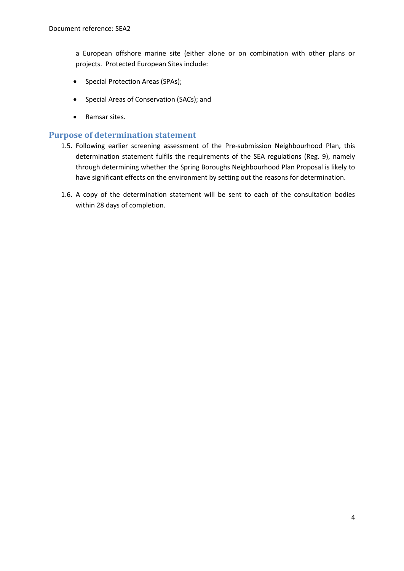a European offshore marine site (either alone or on combination with other plans or projects. Protected European Sites include:

- Special Protection Areas (SPAs);
- Special Areas of Conservation (SACs); and
- Ramsar sites.

#### <span id="page-3-0"></span>**Purpose of determination statement**

- 1.5. Following earlier screening assessment of the Pre-submission Neighbourhood Plan, this determination statement fulfils the requirements of the SEA regulations (Reg. 9), namely through determining whether the Spring Boroughs Neighbourhood Plan Proposal is likely to have significant effects on the environment by setting out the reasons for determination.
- 1.6. A copy of the determination statement will be sent to each of the consultation bodies within 28 days of completion.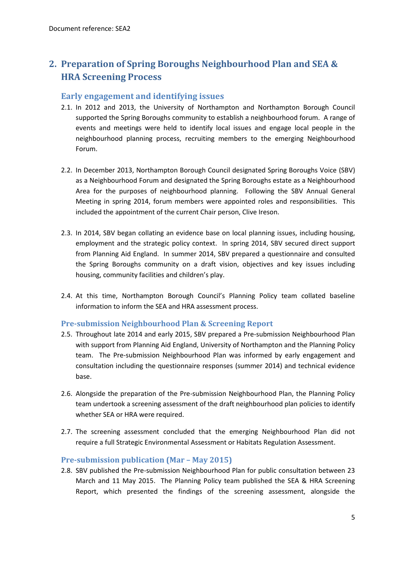## <span id="page-4-0"></span>**2. Preparation of Spring Boroughs Neighbourhood Plan and SEA & HRA Screening Process**

#### <span id="page-4-1"></span>**Early engagement and identifying issues**

- 2.1. In 2012 and 2013, the University of Northampton and Northampton Borough Council supported the Spring Boroughs community to establish a neighbourhood forum. A range of events and meetings were held to identify local issues and engage local people in the neighbourhood planning process, recruiting members to the emerging Neighbourhood Forum.
- 2.2. In December 2013, Northampton Borough Council designated Spring Boroughs Voice (SBV) as a Neighbourhood Forum and designated the Spring Boroughs estate as a Neighbourhood Area for the purposes of neighbourhood planning. Following the SBV Annual General Meeting in spring 2014, forum members were appointed roles and responsibilities. This included the appointment of the current Chair person, Clive Ireson.
- 2.3. In 2014, SBV began collating an evidence base on local planning issues, including housing, employment and the strategic policy context. In spring 2014, SBV secured direct support from Planning Aid England. In summer 2014, SBV prepared a questionnaire and consulted the Spring Boroughs community on a draft vision, objectives and key issues including housing, community facilities and children's play.
- 2.4. At this time, Northampton Borough Council's Planning Policy team collated baseline information to inform the SEA and HRA assessment process.

#### <span id="page-4-2"></span>**Pre-submission Neighbourhood Plan & Screening Report**

- 2.5. Throughout late 2014 and early 2015, SBV prepared a Pre-submission Neighbourhood Plan with support from Planning Aid England, University of Northampton and the Planning Policy team. The Pre-submission Neighbourhood Plan was informed by early engagement and consultation including the questionnaire responses (summer 2014) and technical evidence base.
- 2.6. Alongside the preparation of the Pre-submission Neighbourhood Plan, the Planning Policy team undertook a screening assessment of the draft neighbourhood plan policies to identify whether SEA or HRA were required.
- 2.7. The screening assessment concluded that the emerging Neighbourhood Plan did not require a full Strategic Environmental Assessment or Habitats Regulation Assessment.

#### <span id="page-4-3"></span>**Pre-submission publication (Mar – May 2015)**

2.8. SBV published the Pre-submission Neighbourhood Plan for public consultation between 23 March and 11 May 2015. The Planning Policy team published the SEA & HRA Screening Report, which presented the findings of the screening assessment, alongside the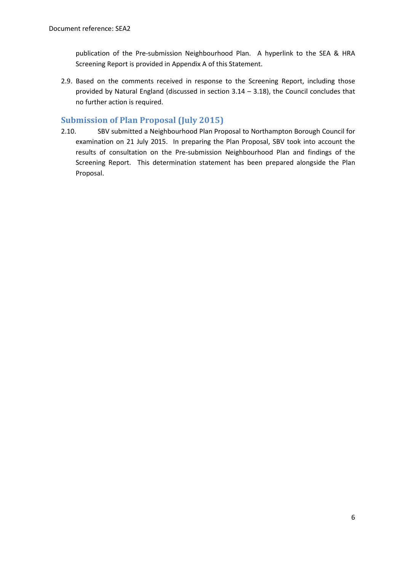publication of the Pre-submission Neighbourhood Plan. A hyperlink to the SEA & HRA Screening Report is provided in Appendix A of this Statement.

2.9. Based on the comments received in response to the Screening Report, including those provided by Natural England (discussed in section 3.14 – 3.18), the Council concludes that no further action is required.

### <span id="page-5-0"></span>**Submission of Plan Proposal (July 2015)**

2.10. SBV submitted a Neighbourhood Plan Proposal to Northampton Borough Council for examination on 21 July 2015. In preparing the Plan Proposal, SBV took into account the results of consultation on the Pre-submission Neighbourhood Plan and findings of the Screening Report. This determination statement has been prepared alongside the Plan Proposal.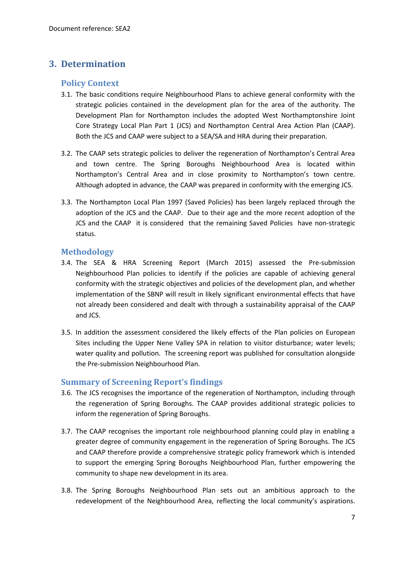### <span id="page-6-1"></span><span id="page-6-0"></span>**3. Determination**

#### **Policy Context**

- 3.1. The basic conditions require Neighbourhood Plans to achieve general conformity with the strategic policies contained in the development plan for the area of the authority. The Development Plan for Northampton includes the adopted West Northamptonshire Joint Core Strategy Local Plan Part 1 (JCS) and Northampton Central Area Action Plan (CAAP). Both the JCS and CAAP were subject to a SEA/SA and HRA during their preparation.
- 3.2. The CAAP sets strategic policies to deliver the regeneration of Northampton's Central Area and town centre. The Spring Boroughs Neighbourhood Area is located within Northampton's Central Area and in close proximity to Northampton's town centre. Although adopted in advance, the CAAP was prepared in conformity with the emerging JCS.
- 3.3. The Northampton Local Plan 1997 (Saved Policies) has been largely replaced through the adoption of the JCS and the CAAP. Due to their age and the more recent adoption of the JCS and the CAAP it is considered that the remaining Saved Policies have non-strategic status.

### <span id="page-6-2"></span>**Methodology**

- 3.4. The SEA & HRA Screening Report (March 2015) assessed the Pre-submission Neighbourhood Plan policies to identify if the policies are capable of achieving general conformity with the strategic objectives and policies of the development plan, and whether implementation of the SBNP will result in likely significant environmental effects that have not already been considered and dealt with through a sustainability appraisal of the CAAP and JCS.
- 3.5. In addition the assessment considered the likely effects of the Plan policies on European Sites including the Upper Nene Valley SPA in relation to visitor disturbance; water levels; water quality and pollution. The screening report was published for consultation alongside the Pre-submission Neighbourhood Plan.

### <span id="page-6-3"></span>**Summary of Screening Report's findings**

- 3.6. The JCS recognises the importance of the regeneration of Northampton, including through the regeneration of Spring Boroughs. The CAAP provides additional strategic policies to inform the regeneration of Spring Boroughs.
- 3.7. The CAAP recognises the important role neighbourhood planning could play in enabling a greater degree of community engagement in the regeneration of Spring Boroughs. The JCS and CAAP therefore provide a comprehensive strategic policy framework which is intended to support the emerging Spring Boroughs Neighbourhood Plan, further empowering the community to shape new development in its area.
- 3.8. The Spring Boroughs Neighbourhood Plan sets out an ambitious approach to the redevelopment of the Neighbourhood Area, reflecting the local community's aspirations.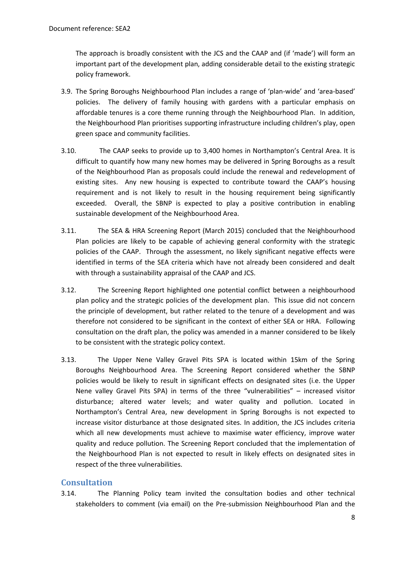The approach is broadly consistent with the JCS and the CAAP and (if 'made') will form an important part of the development plan, adding considerable detail to the existing strategic policy framework.

- 3.9. The Spring Boroughs Neighbourhood Plan includes a range of 'plan-wide' and 'area-based' policies. The delivery of family housing with gardens with a particular emphasis on affordable tenures is a core theme running through the Neighbourhood Plan. In addition, the Neighbourhood Plan prioritises supporting infrastructure including children's play, open green space and community facilities.
- 3.10. The CAAP seeks to provide up to 3,400 homes in Northampton's Central Area. It is difficult to quantify how many new homes may be delivered in Spring Boroughs as a result of the Neighbourhood Plan as proposals could include the renewal and redevelopment of existing sites. Any new housing is expected to contribute toward the CAAP's housing requirement and is not likely to result in the housing requirement being significantly exceeded. Overall, the SBNP is expected to play a positive contribution in enabling sustainable development of the Neighbourhood Area.
- 3.11. The SEA & HRA Screening Report (March 2015) concluded that the Neighbourhood Plan policies are likely to be capable of achieving general conformity with the strategic policies of the CAAP. Through the assessment, no likely significant negative effects were identified in terms of the SEA criteria which have not already been considered and dealt with through a sustainability appraisal of the CAAP and JCS.
- 3.12. The Screening Report highlighted one potential conflict between a neighbourhood plan policy and the strategic policies of the development plan. This issue did not concern the principle of development, but rather related to the tenure of a development and was therefore not considered to be significant in the context of either SEA or HRA. Following consultation on the draft plan, the policy was amended in a manner considered to be likely to be consistent with the strategic policy context.
- 3.13. The Upper Nene Valley Gravel Pits SPA is located within 15km of the Spring Boroughs Neighbourhood Area. The Screening Report considered whether the SBNP policies would be likely to result in significant effects on designated sites (i.e. the Upper Nene valley Gravel Pits SPA) in terms of the three "vulnerabilities" – increased visitor disturbance; altered water levels; and water quality and pollution. Located in Northampton's Central Area, new development in Spring Boroughs is not expected to increase visitor disturbance at those designated sites. In addition, the JCS includes criteria which all new developments must achieve to maximise water efficiency, improve water quality and reduce pollution. The Screening Report concluded that the implementation of the Neighbourhood Plan is not expected to result in likely effects on designated sites in respect of the three vulnerabilities.

### <span id="page-7-0"></span>**Consultation**

3.14. The Planning Policy team invited the consultation bodies and other technical stakeholders to comment (via email) on the Pre-submission Neighbourhood Plan and the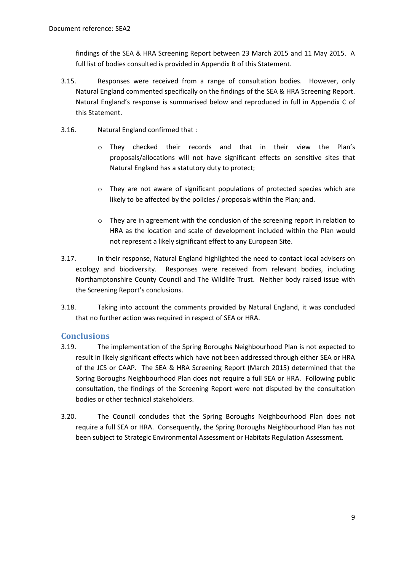findings of the SEA & HRA Screening Report between 23 March 2015 and 11 May 2015. A full list of bodies consulted is provided in Appendix B of this Statement.

- 3.15. Responses were received from a range of consultation bodies. However, only Natural England commented specifically on the findings of the SEA & HRA Screening Report. Natural England's response is summarised below and reproduced in full in Appendix C of this Statement.
- 3.16. Natural England confirmed that :
	- o They checked their records and that in their view the Plan's proposals/allocations will not have significant effects on sensitive sites that Natural England has a statutory duty to protect;
	- o They are not aware of significant populations of protected species which are likely to be affected by the policies / proposals within the Plan; and.
	- o They are in agreement with the conclusion of the screening report in relation to HRA as the location and scale of development included within the Plan would not represent a likely significant effect to any European Site.
- 3.17. In their response, Natural England highlighted the need to contact local advisers on ecology and biodiversity. Responses were received from relevant bodies, including Northamptonshire County Council and The Wildlife Trust. Neither body raised issue with the Screening Report's conclusions.
- 3.18. Taking into account the comments provided by Natural England, it was concluded that no further action was required in respect of SEA or HRA.

### <span id="page-8-0"></span>**Conclusions**

- 3.19. The implementation of the Spring Boroughs Neighbourhood Plan is not expected to result in likely significant effects which have not been addressed through either SEA or HRA of the JCS or CAAP. The SEA & HRA Screening Report (March 2015) determined that the Spring Boroughs Neighbourhood Plan does not require a full SEA or HRA. Following public consultation, the findings of the Screening Report were not disputed by the consultation bodies or other technical stakeholders.
- 3.20. The Council concludes that the Spring Boroughs Neighbourhood Plan does not require a full SEA or HRA. Consequently, the Spring Boroughs Neighbourhood Plan has not been subject to Strategic Environmental Assessment or Habitats Regulation Assessment.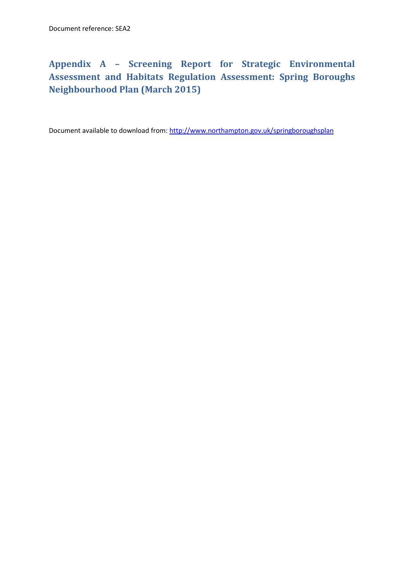## <span id="page-9-0"></span>**Appendix A – Screening Report for Strategic Environmental Assessment and Habitats Regulation Assessment: Spring Boroughs Neighbourhood Plan (March 2015)**

Document available to download from[: http://www.northampton.gov.uk/springboroughsplan](http://www.northampton.gov.uk/springboroughsplan)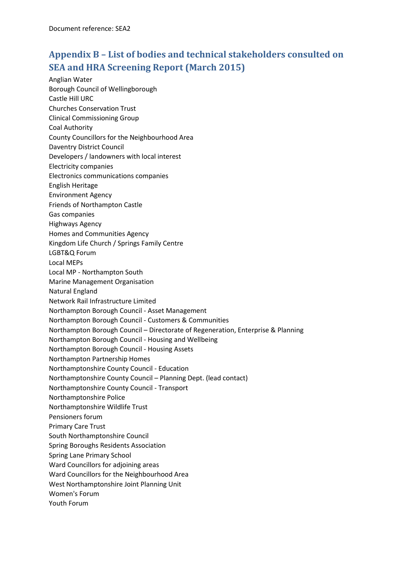## <span id="page-10-0"></span>**Appendix B – List of bodies and technical stakeholders consulted on SEA and HRA Screening Report (March 2015)**

Anglian Water Borough Council of Wellingborough Castle Hill URC Churches Conservation Trust Clinical Commissioning Group Coal Authority County Councillors for the Neighbourhood Area Daventry District Council Developers / landowners with local interest Electricity companies Electronics communications companies English Heritage Environment Agency Friends of Northampton Castle Gas companies Highways Agency Homes and Communities Agency Kingdom Life Church / Springs Family Centre LGBT&Q Forum Local MEPs Local MP - Northampton South Marine Management Organisation Natural England Network Rail Infrastructure Limited Northampton Borough Council - Asset Management Northampton Borough Council - Customers & Communities Northampton Borough Council – Directorate of Regeneration, Enterprise & Planning Northampton Borough Council - Housing and Wellbeing Northampton Borough Council - Housing Assets Northampton Partnership Homes Northamptonshire County Council - Education Northamptonshire County Council – Planning Dept. (lead contact) Northamptonshire County Council - Transport Northamptonshire Police Northamptonshire Wildlife Trust Pensioners forum Primary Care Trust South Northamptonshire Council Spring Boroughs Residents Association Spring Lane Primary School Ward Councillors for adjoining areas Ward Councillors for the Neighbourhood Area West Northamptonshire Joint Planning Unit Women's Forum Youth Forum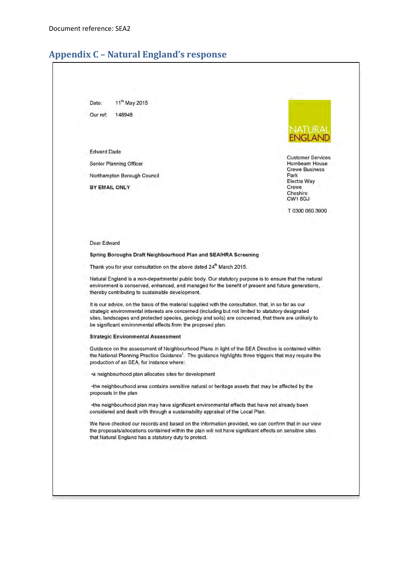### <span id="page-11-0"></span>**Appendix C - Natural England's response**

11th May 2015 Date: 148948 Our ref:

**Edward Dade** 

**Senior Planning Officer** 

Northampton Borough Council

BY EMAIL ONLY



**Customer Services** Hornbeam House **Crewe Business** Park Electra Way Crewe Cheshire CW1 6GJ

T 0300 060 3900

Dear Edward

#### Spring Boroughs Draft Neighbourhood Plan and SEA/HRA Screening

Thank you for your consultation on the above dated 24<sup>th</sup> March 2015.

Natural England is a non-departmental public body. Our statutory purpose is to ensure that the natural environment is conserved, enhanced, and managed for the benefit of present and future generations, thereby contributing to sustainable development.

It is our advice, on the basis of the material supplied with the consultation, that, in so far as our strategic environmental interests are concerned (including but not limited to statutory designated sites, landscapes and protected species, geology and soils) are concerned, that there are unlikely to be significant environmental effects from the proposed plan.

#### **Strategic Environmental Assessment**

Guidance on the assessment of Neighbourhood Plans in light of the SEA Directive is contained within the National Planning Practice Guidance<sup>1</sup>. The guidance highlights three triggers that may require the production of an SEA, for instance where:

•a neighbourhood plan allocates sites for development

•the neighbourhood area contains sensitive natural or heritage assets that may be affected by the proposals in the plan

•the neighbourhood plan may have significant environmental effects that have not already been considered and dealt with through a sustainability appraisal of the Local Plan.

We have checked our records and based on the information provided, we can confirm that in our view the proposals/allocations contained within the plan will not have significant effects on sensitive sites that Natural England has a statutory duty to protect.